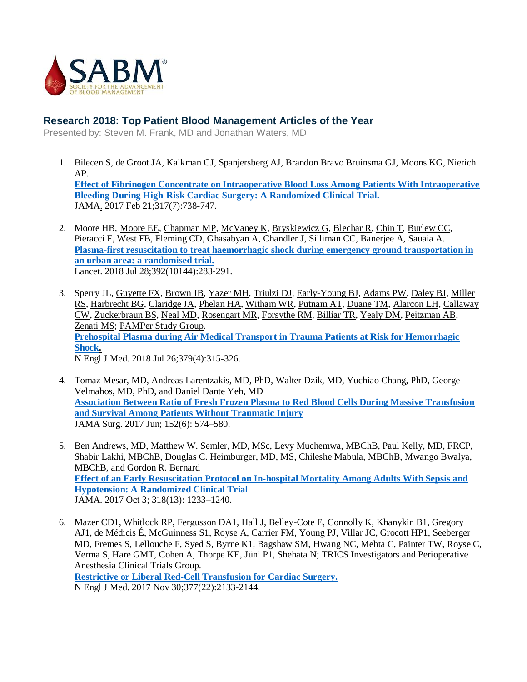

## **Research 2018: Top Patient Blood Management Articles of the Year**

Presented by: Steven M. Frank, MD and Jonathan Waters, MD

- 1. [Bilecen S,](https://www.ncbi.nlm.nih.gov/pubmed/?term=Bilecen%20S%5BAuthor%5D&cauthor=true&cauthor_uid=28241354) [de Groot JA,](https://www.ncbi.nlm.nih.gov/pubmed/?term=de%20Groot%20JA%5BAuthor%5D&cauthor=true&cauthor_uid=28241354) [Kalkman CJ,](https://www.ncbi.nlm.nih.gov/pubmed/?term=Kalkman%20CJ%5BAuthor%5D&cauthor=true&cauthor_uid=28241354) [Spanjersberg AJ,](https://www.ncbi.nlm.nih.gov/pubmed/?term=Spanjersberg%20AJ%5BAuthor%5D&cauthor=true&cauthor_uid=28241354) [Brandon Bravo Bruinsma GJ,](https://www.ncbi.nlm.nih.gov/pubmed/?term=Brandon%20Bravo%20Bruinsma%20GJ%5BAuthor%5D&cauthor=true&cauthor_uid=28241354) [Moons KG,](https://www.ncbi.nlm.nih.gov/pubmed/?term=Moons%20KG%5BAuthor%5D&cauthor=true&cauthor_uid=28241354) [Nierich](https://www.ncbi.nlm.nih.gov/pubmed/?term=Nierich%20AP%5BAuthor%5D&cauthor=true&cauthor_uid=28241354)  [AP.](https://www.ncbi.nlm.nih.gov/pubmed/?term=Nierich%20AP%5BAuthor%5D&cauthor=true&cauthor_uid=28241354) **[Effect of Fibrinogen Concentrate on Intraoperative Blood Loss Among Patients With Intraoperative](https://www.ncbi.nlm.nih.gov/pubmed/28241354)  [Bleeding During High-Risk Cardiac Surgery: A Randomized Clinical Trial.](https://www.ncbi.nlm.nih.gov/pubmed/28241354)** [JAMA.](https://www.ncbi.nlm.nih.gov/pubmed/28241354) 2017 Feb 21;317(7):738-747.
- 2. [Moore HB,](https://www.ncbi.nlm.nih.gov/pubmed/?term=Moore%20HB%5BAuthor%5D&cauthor=true&cauthor_uid=30032977) [Moore EE,](https://www.ncbi.nlm.nih.gov/pubmed/?term=Moore%20EE%5BAuthor%5D&cauthor=true&cauthor_uid=30032977) [Chapman MP,](https://www.ncbi.nlm.nih.gov/pubmed/?term=Chapman%20MP%5BAuthor%5D&cauthor=true&cauthor_uid=30032977) [McVaney K,](https://www.ncbi.nlm.nih.gov/pubmed/?term=McVaney%20K%5BAuthor%5D&cauthor=true&cauthor_uid=30032977) [Bryskiewicz G,](https://www.ncbi.nlm.nih.gov/pubmed/?term=Bryskiewicz%20G%5BAuthor%5D&cauthor=true&cauthor_uid=30032977) [Blechar R,](https://www.ncbi.nlm.nih.gov/pubmed/?term=Blechar%20R%5BAuthor%5D&cauthor=true&cauthor_uid=30032977) [Chin T,](https://www.ncbi.nlm.nih.gov/pubmed/?term=Chin%20T%5BAuthor%5D&cauthor=true&cauthor_uid=30032977) [Burlew CC,](https://www.ncbi.nlm.nih.gov/pubmed/?term=Burlew%20CC%5BAuthor%5D&cauthor=true&cauthor_uid=30032977)  [Pieracci F,](https://www.ncbi.nlm.nih.gov/pubmed/?term=Pieracci%20F%5BAuthor%5D&cauthor=true&cauthor_uid=30032977) [West FB,](https://www.ncbi.nlm.nih.gov/pubmed/?term=West%20FB%5BAuthor%5D&cauthor=true&cauthor_uid=30032977) [Fleming CD,](https://www.ncbi.nlm.nih.gov/pubmed/?term=Fleming%20CD%5BAuthor%5D&cauthor=true&cauthor_uid=30032977) [Ghasabyan A,](https://www.ncbi.nlm.nih.gov/pubmed/?term=Ghasabyan%20A%5BAuthor%5D&cauthor=true&cauthor_uid=30032977) [Chandler J,](https://www.ncbi.nlm.nih.gov/pubmed/?term=Chandler%20J%5BAuthor%5D&cauthor=true&cauthor_uid=30032977) [Silliman CC,](https://www.ncbi.nlm.nih.gov/pubmed/?term=Silliman%20CC%5BAuthor%5D&cauthor=true&cauthor_uid=30032977) [Banerjee A,](https://www.ncbi.nlm.nih.gov/pubmed/?term=Banerjee%20A%5BAuthor%5D&cauthor=true&cauthor_uid=30032977) [Sauaia](https://www.ncbi.nlm.nih.gov/pubmed/?term=Sauaia%20A%5BAuthor%5D&cauthor=true&cauthor_uid=30032977) A. **[Plasma-first resuscitation to treat haemorrhagic shock during emergency ground transportation in](https://www.ncbi.nlm.nih.gov/pubmed?term=moore%5bauthor%5d+AND+plasma-first+resuscitation+to+treat&TransSchema=title&cmd=detailssearch)  [an urban area: a randomised trial.](https://www.ncbi.nlm.nih.gov/pubmed?term=moore%5bauthor%5d+AND+plasma-first+resuscitation+to+treat&TransSchema=title&cmd=detailssearch)** [Lancet.](https://www.ncbi.nlm.nih.gov/pubmed?term=moore%5Bauthor%5D+AND+plasma-first+resuscitation+to+treat&TransSchema=title&cmd=detailssearch) 2018 Jul 28;392(10144):283-291.
- 3. [Sperry JL,](https://www.ncbi.nlm.nih.gov/pubmed/?term=Sperry%20JL%5BAuthor%5D&cauthor=true&cauthor_uid=30044935) [Guyette FX,](https://www.ncbi.nlm.nih.gov/pubmed/?term=Guyette%20FX%5BAuthor%5D&cauthor=true&cauthor_uid=30044935) [Brown JB,](https://www.ncbi.nlm.nih.gov/pubmed/?term=Brown%20JB%5BAuthor%5D&cauthor=true&cauthor_uid=30044935) [Yazer MH,](https://www.ncbi.nlm.nih.gov/pubmed/?term=Yazer%20MH%5BAuthor%5D&cauthor=true&cauthor_uid=30044935) [Triulzi DJ,](https://www.ncbi.nlm.nih.gov/pubmed/?term=Triulzi%20DJ%5BAuthor%5D&cauthor=true&cauthor_uid=30044935) [Early-Young BJ,](https://www.ncbi.nlm.nih.gov/pubmed/?term=Early-Young%20BJ%5BAuthor%5D&cauthor=true&cauthor_uid=30044935) [Adams PW,](https://www.ncbi.nlm.nih.gov/pubmed/?term=Adams%20PW%5BAuthor%5D&cauthor=true&cauthor_uid=30044935) [Daley BJ,](https://www.ncbi.nlm.nih.gov/pubmed/?term=Daley%20BJ%5BAuthor%5D&cauthor=true&cauthor_uid=30044935) [Miller](https://www.ncbi.nlm.nih.gov/pubmed/?term=Miller%20RS%5BAuthor%5D&cauthor=true&cauthor_uid=30044935)  [RS,](https://www.ncbi.nlm.nih.gov/pubmed/?term=Miller%20RS%5BAuthor%5D&cauthor=true&cauthor_uid=30044935) [Harbrecht BG,](https://www.ncbi.nlm.nih.gov/pubmed/?term=Harbrecht%20BG%5BAuthor%5D&cauthor=true&cauthor_uid=30044935) [Claridge JA,](https://www.ncbi.nlm.nih.gov/pubmed/?term=Claridge%20JA%5BAuthor%5D&cauthor=true&cauthor_uid=30044935) [Phelan HA,](https://www.ncbi.nlm.nih.gov/pubmed/?term=Phelan%20HA%5BAuthor%5D&cauthor=true&cauthor_uid=30044935) [Witham WR,](https://www.ncbi.nlm.nih.gov/pubmed/?term=Witham%20WR%5BAuthor%5D&cauthor=true&cauthor_uid=30044935) [Putnam AT,](https://www.ncbi.nlm.nih.gov/pubmed/?term=Putnam%20AT%5BAuthor%5D&cauthor=true&cauthor_uid=30044935) [Duane TM,](https://www.ncbi.nlm.nih.gov/pubmed/?term=Duane%20TM%5BAuthor%5D&cauthor=true&cauthor_uid=30044935) [Alarcon LH,](https://www.ncbi.nlm.nih.gov/pubmed/?term=Alarcon%20LH%5BAuthor%5D&cauthor=true&cauthor_uid=30044935) [Callaway](https://www.ncbi.nlm.nih.gov/pubmed/?term=Callaway%20CW%5BAuthor%5D&cauthor=true&cauthor_uid=30044935)  [CW,](https://www.ncbi.nlm.nih.gov/pubmed/?term=Callaway%20CW%5BAuthor%5D&cauthor=true&cauthor_uid=30044935) [Zuckerbraun BS,](https://www.ncbi.nlm.nih.gov/pubmed/?term=Zuckerbraun%20BS%5BAuthor%5D&cauthor=true&cauthor_uid=30044935) [Neal MD,](https://www.ncbi.nlm.nih.gov/pubmed/?term=Neal%20MD%5BAuthor%5D&cauthor=true&cauthor_uid=30044935) [Rosengart MR,](https://www.ncbi.nlm.nih.gov/pubmed/?term=Rosengart%20MR%5BAuthor%5D&cauthor=true&cauthor_uid=30044935) [Forsythe RM,](https://www.ncbi.nlm.nih.gov/pubmed/?term=Forsythe%20RM%5BAuthor%5D&cauthor=true&cauthor_uid=30044935) [Billiar TR,](https://www.ncbi.nlm.nih.gov/pubmed/?term=Billiar%20TR%5BAuthor%5D&cauthor=true&cauthor_uid=30044935) [Yealy DM,](https://www.ncbi.nlm.nih.gov/pubmed/?term=Yealy%20DM%5BAuthor%5D&cauthor=true&cauthor_uid=30044935) [Peitzman AB,](https://www.ncbi.nlm.nih.gov/pubmed/?term=Peitzman%20AB%5BAuthor%5D&cauthor=true&cauthor_uid=30044935) [Zenati MS;](https://www.ncbi.nlm.nih.gov/pubmed/?term=Zenati%20MS%5BAuthor%5D&cauthor=true&cauthor_uid=30044935) [PAMPer Study Group.](https://www.ncbi.nlm.nih.gov/pubmed/?term=PAMPer%20Study%20Group%5BCorporate%20Author%5D) **[Prehospital Plasma during Air Medical Transport in Trauma Patients at Risk for Hemorrhagic](https://www.ncbi.nlm.nih.gov/pubmed/30044935)  [Shock.](https://www.ncbi.nlm.nih.gov/pubmed/30044935)** [N Engl J Med.](https://www.ncbi.nlm.nih.gov/pubmed/30044935) 2018 Jul 26;379(4):315-326.
- 4. Tomaz Mesar, MD, Andreas Larentzakis, MD, PhD, Walter Dzik, MD, Yuchiao Chang, PhD, George Velmahos, MD, PhD, and Daniel Dante Yeh, MD **[Association Between Ratio of Fresh Frozen Plasma to Red Blood Cells During Massive Transfusion](https://jamanetwork.com/journals/jamasurgery/fullarticle/2608713?resultClick=1)  [and Survival Among Patients Without Traumatic Injury](https://jamanetwork.com/journals/jamasurgery/fullarticle/2608713?resultClick=1)** JAMA Surg. 2017 Jun; 152(6): 574–580.
- 5. Ben Andrews, MD, Matthew W. Semler, MD, MSc, Levy Muchemwa, MBChB, Paul Kelly, MD, FRCP, Shabir Lakhi, MBChB, Douglas C. Heimburger, MD, MS, Chileshe Mabula, MBChB, Mwango Bwalya, MBChB, and Gordon R. Bernard **[Effect of an Early Resuscitation Protocol on In-hospital Mortality Among Adults With Sepsis and](https://jamanetwork.com/journals/jama/fullarticle/2654854?resultClick=1)  Hypotension: [A Randomized Clinical Trial](https://jamanetwork.com/journals/jama/fullarticle/2654854?resultClick=1)** JAMA. 2017 Oct 3; 318(13): 1233–1240.
- 6. Mazer CD1, Whitlock RP, Fergusson DA1, Hall J, Belley-Cote E, Connolly K, Khanykin B1, Gregory AJ1, de Médicis É, McGuinness S1, Royse A, Carrier FM, Young PJ, Villar JC, Grocott HP1, Seeberger MD, Fremes S, Lellouche F, Syed S, Byrne K1, Bagshaw SM, Hwang NC, Mehta C, Painter TW, Royse C, Verma S, Hare GMT, Cohen A, Thorpe KE, Jüni P1, Shehata N; TRICS Investigators and Perioperative Anesthesia Clinical Trials Group. **[Restrictive or Liberal Red-Cell Transfusion for Cardiac Surgery.](https://www.nejm.org/doi/abs/10.1056/NEJMoa1711818)**

N Engl J Med. 2017 Nov 30;377(22):2133-2144.